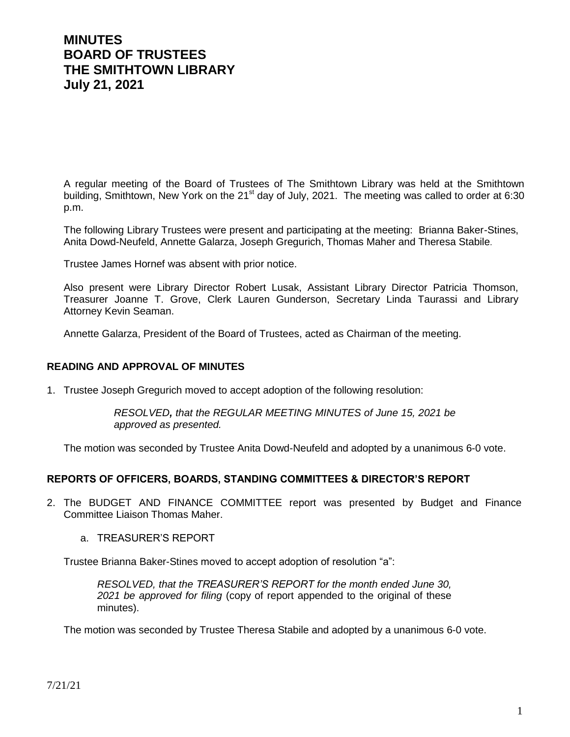# **MINUTES BOARD OF TRUSTEES THE SMITHTOWN LIBRARY July 21, 2021**

A regular meeting of the Board of Trustees of The Smithtown Library was held at the Smithtown building, Smithtown, New York on the 21<sup>st</sup> day of July, 2021. The meeting was called to order at 6:30 p.m.

The following Library Trustees were present and participating at the meeting: Brianna Baker-Stines, Anita Dowd-Neufeld, Annette Galarza, Joseph Gregurich, Thomas Maher and Theresa Stabile.

Trustee James Hornef was absent with prior notice.

Also present were Library Director Robert Lusak, Assistant Library Director Patricia Thomson, Treasurer Joanne T. Grove, Clerk Lauren Gunderson, Secretary Linda Taurassi and Library Attorney Kevin Seaman.

Annette Galarza, President of the Board of Trustees, acted as Chairman of the meeting.

#### **READING AND APPROVAL OF MINUTES**

1. Trustee Joseph Gregurich moved to accept adoption of the following resolution:

*RESOLVED, that the REGULAR MEETING MINUTES of June 15, 2021 be approved as presented.*

The motion was seconded by Trustee Anita Dowd-Neufeld and adopted by a unanimous 6-0 vote.

#### **REPORTS OF OFFICERS, BOARDS, STANDING COMMITTEES & DIRECTOR'S REPORT**

- 2. The BUDGET AND FINANCE COMMITTEE report was presented by Budget and Finance Committee Liaison Thomas Maher.
	- a. TREASURER'S REPORT

Trustee Brianna Baker-Stines moved to accept adoption of resolution "a":

*RESOLVED, that the TREASURER'S REPORT for the month ended June 30, 2021 be approved for filing* (copy of report appended to the original of these minutes).

The motion was seconded by Trustee Theresa Stabile and adopted by a unanimous 6-0 vote.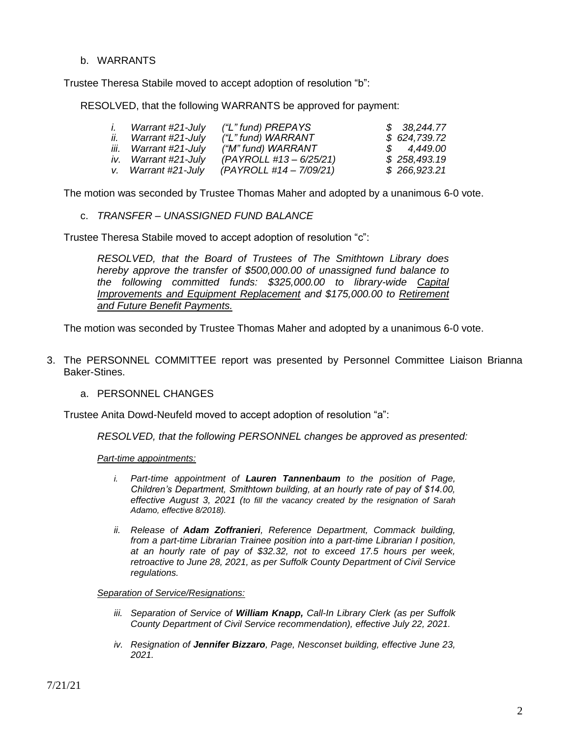#### b. WARRANTS

Trustee Theresa Stabile moved to accept adoption of resolution "b":

RESOLVED, that the following WARRANTS be approved for payment:

| I. | Warrant #21-July      | ("L" fund) PREPAYS      | \$38,244.77  |
|----|-----------------------|-------------------------|--------------|
|    | ii. Warrant #21-July  | ("L" fund) WARRANT      | \$624,739.72 |
|    | iii. Warrant #21-July | ("M" fund) WARRANT      | \$4,449.00   |
|    | iv. Warrant #21-July  | (PAYROLL #13 - 6/25/21) | \$258,493.19 |
|    | v. Warrant #21-July   | (PAYROLL #14 – 7/09/21) | \$266,923.21 |

The motion was seconded by Trustee Thomas Maher and adopted by a unanimous 6-0 vote.

c. *TRANSFER – UNASSIGNED FUND BALANCE*

Trustee Theresa Stabile moved to accept adoption of resolution "c":

*RESOLVED, that the Board of Trustees of The Smithtown Library does hereby approve the transfer of \$500,000.00 of unassigned fund balance to the following committed funds: \$325,000.00 to library-wide Capital Improvements and Equipment Replacement and \$175,000.00 to Retirement and Future Benefit Payments.* 

The motion was seconded by Trustee Thomas Maher and adopted by a unanimous 6-0 vote.

- 3. The PERSONNEL COMMITTEE report was presented by Personnel Committee Liaison Brianna Baker-Stines.
	- a. PERSONNEL CHANGES

Trustee Anita Dowd-Neufeld moved to accept adoption of resolution "a":

*RESOLVED, that the following PERSONNEL changes be approved as presented:*

*Part-time appointments:*

- *i. Part-time appointment of Lauren Tannenbaum to the position of Page, Children's Department, Smithtown building, at an hourly rate of pay of \$14.00, effective August 3, 2021 (to fill the vacancy created by the resignation of Sarah Adamo, effective 8/2018).*
- *ii. Release of Adam Zoffranieri, Reference Department, Commack building, from a part-time Librarian Trainee position into a part-time Librarian I position, at an hourly rate of pay of \$32.32, not to exceed 17.5 hours per week, retroactive to June 28, 2021, as per Suffolk County Department of Civil Service regulations.*

*Separation of Service/Resignations:*

- *iii. Separation of Service of William Knapp, Call-In Library Clerk (as per Suffolk County Department of Civil Service recommendation), effective July 22, 2021.*
- *iv. Resignation of Jennifer Bizzaro, Page, Nesconset building, effective June 23, 2021.*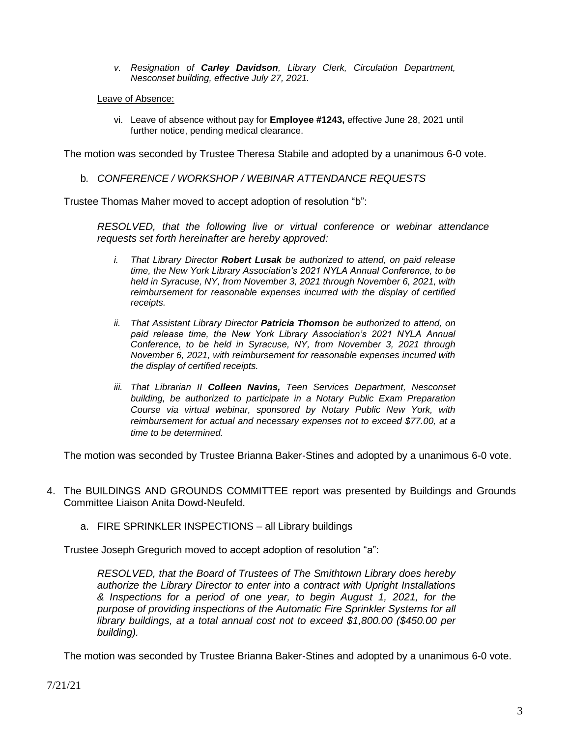- *v. Resignation of Carley Davidson, Library Clerk, Circulation Department, Nesconset building, effective July 27, 2021.*
- Leave of Absence:
	- vi. Leave of absence without pay for **Employee #1243,** effective June 28, 2021 until further notice, pending medical clearance.

The motion was seconded by Trustee Theresa Stabile and adopted by a unanimous 6-0 vote.

b*. CONFERENCE / WORKSHOP / WEBINAR ATTENDANCE REQUESTS*

Trustee Thomas Maher moved to accept adoption of resolution "b":

*RESOLVED, that the following live or virtual conference or webinar attendance requests set forth hereinafter are hereby approved:*

- *i. That Library Director Robert Lusak be authorized to attend, on paid release time, the New York Library Association's 2021 NYLA Annual Conference, to be held in Syracuse, NY, from November 3, 2021 through November 6, 2021, with reimbursement for reasonable expenses incurred with the display of certified receipts.*
- *ii. That Assistant Library Director Patricia Thomson be authorized to attend, on paid release time, the New York Library Association's 2021 NYLA Annual Conference, to be held in Syracuse, NY, from November 3, 2021 through November 6, 2021, with reimbursement for reasonable expenses incurred with the display of certified receipts.*
- *iii. That Librarian II Colleen Navins, Teen Services Department, Nesconset building, be authorized to participate in a Notary Public Exam Preparation Course via virtual webinar, sponsored by Notary Public New York, with reimbursement for actual and necessary expenses not to exceed \$77.00, at a time to be determined.*

The motion was seconded by Trustee Brianna Baker-Stines and adopted by a unanimous 6-0 vote.

- 4. The BUILDINGS AND GROUNDS COMMITTEE report was presented by Buildings and Grounds Committee Liaison Anita Dowd-Neufeld.
	- a. FIRE SPRINKLER INSPECTIONS all Library buildings

Trustee Joseph Gregurich moved to accept adoption of resolution "a":

*RESOLVED, that the Board of Trustees of The Smithtown Library does hereby authorize the Library Director to enter into a contract with Upright Installations & Inspections for a period of one year, to begin August 1, 2021, for the purpose of providing inspections of the Automatic Fire Sprinkler Systems for all library buildings, at a total annual cost not to exceed \$1,800.00 (\$450.00 per building).*

The motion was seconded by Trustee Brianna Baker-Stines and adopted by a unanimous 6-0 vote.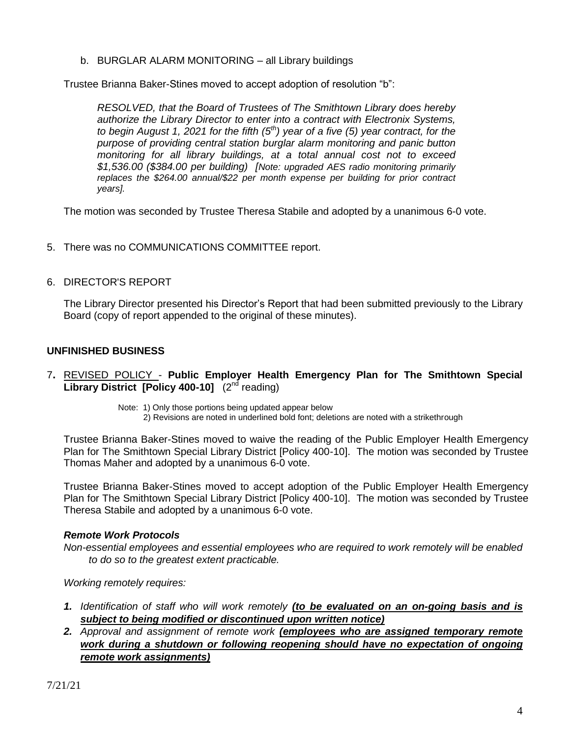b. BURGLAR ALARM MONITORING – all Library buildings

Trustee Brianna Baker-Stines moved to accept adoption of resolution "b":

*RESOLVED, that the Board of Trustees of The Smithtown Library does hereby authorize the Library Director to enter into a contract with Electronix Systems, to begin August 1, 2021 for the fifth (5th) year of a five (5) year contract, for the purpose of providing central station burglar alarm monitoring and panic button monitoring for all library buildings, at a total annual cost not to exceed \$1,536.00 (\$384.00 per building) [Note: upgraded AES radio monitoring primarily replaces the \$264.00 annual/\$22 per month expense per building for prior contract years].*

The motion was seconded by Trustee Theresa Stabile and adopted by a unanimous 6-0 vote.

- 5. There was no COMMUNICATIONS COMMITTEE report.
- 6. DIRECTOR'S REPORT

The Library Director presented his Director's Report that had been submitted previously to the Library Board (copy of report appended to the original of these minutes).

# **UNFINISHED BUSINESS**

- 7**.** REVISED POLICY **Public Employer Health Emergency Plan for The Smithtown Special**  Library District [Policy 400-10] (2<sup>nd</sup> reading)
	- Note: 1) Only those portions being updated appear below
		- 2) Revisions are noted in underlined bold font; deletions are noted with a strikethrough

Trustee Brianna Baker-Stines moved to waive the reading of the Public Employer Health Emergency Plan for The Smithtown Special Library District [Policy 400-10]. The motion was seconded by Trustee Thomas Maher and adopted by a unanimous 6-0 vote.

Trustee Brianna Baker-Stines moved to accept adoption of the Public Employer Health Emergency Plan for The Smithtown Special Library District [Policy 400-10]. The motion was seconded by Trustee Theresa Stabile and adopted by a unanimous 6-0 vote.

## *Remote Work Protocols*

*Non-essential employees and essential employees who are required to work remotely will be enabled to do so to the greatest extent practicable.* 

*Working remotely requires:*

- *1. Identification of staff who will work remotely (to be evaluated on an on-going basis and is subject to being modified or discontinued upon written notice)*
- *2. Approval and assignment of remote work (employees who are assigned temporary remote work during a shutdown or following reopening should have no expectation of ongoing remote work assignments)*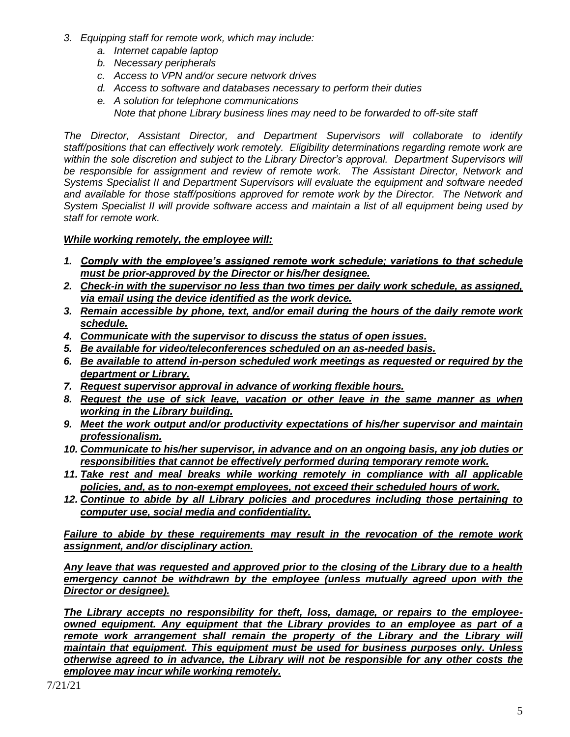- *3. Equipping staff for remote work, which may include:*
	- *a. Internet capable laptop*
	- *b. Necessary peripherals*
	- *c. Access to VPN and/or secure network drives*
	- *d. Access to software and databases necessary to perform their duties*
	- *e. A solution for telephone communications Note that phone Library business lines may need to be forwarded to off-site staff*

*The Director, Assistant Director, and Department Supervisors will collaborate to identify staff/positions that can effectively work remotely. Eligibility determinations regarding remote work are within the sole discretion and subject to the Library Director's approval. Department Supervisors will be responsible for assignment and review of remote work. The Assistant Director, Network and Systems Specialist II and Department Supervisors will evaluate the equipment and software needed and available for those staff/positions approved for remote work by the Director. The Network and System Specialist II will provide software access and maintain a list of all equipment being used by staff for remote work.*

# *While working remotely, the employee will:*

- *1. Comply with the employee's assigned remote work schedule; variations to that schedule must be prior-approved by the Director or his/her designee.*
- *2. Check-in with the supervisor no less than two times per daily work schedule, as assigned, via email using the device identified as the work device.*
- *3. Remain accessible by phone, text, and/or email during the hours of the daily remote work schedule.*
- *4. Communicate with the supervisor to discuss the status of open issues.*
- *5. Be available for video/teleconferences scheduled on an as-needed basis.*
- *6. Be available to attend in-person scheduled work meetings as requested or required by the department or Library.*
- *7. Request supervisor approval in advance of working flexible hours.*
- *8. Request the use of sick leave, vacation or other leave in the same manner as when working in the Library building.*
- *9. Meet the work output and/or productivity expectations of his/her supervisor and maintain professionalism.*
- *10. Communicate to his/her supervisor, in advance and on an ongoing basis, any job duties or responsibilities that cannot be effectively performed during temporary remote work.*
- *11. Take rest and meal breaks while working remotely in compliance with all applicable policies, and, as to non-exempt employees, not exceed their scheduled hours of work.*
- *12. Continue to abide by all Library policies and procedures including those pertaining to computer use, social media and confidentiality.*

*Failure to abide by these requirements may result in the revocation of the remote work assignment, and/or disciplinary action.* 

*Any leave that was requested and approved prior to the closing of the Library due to a health emergency cannot be withdrawn by the employee (unless mutually agreed upon with the Director or designee).*

*The Library accepts no responsibility for theft, loss, damage, or repairs to the employeeowned equipment. Any equipment that the Library provides to an employee as part of a remote work arrangement shall remain the property of the Library and the Library will maintain that equipment. This equipment must be used for business purposes only. Unless otherwise agreed to in advance, the Library will not be responsible for any other costs the employee may incur while working remotely.*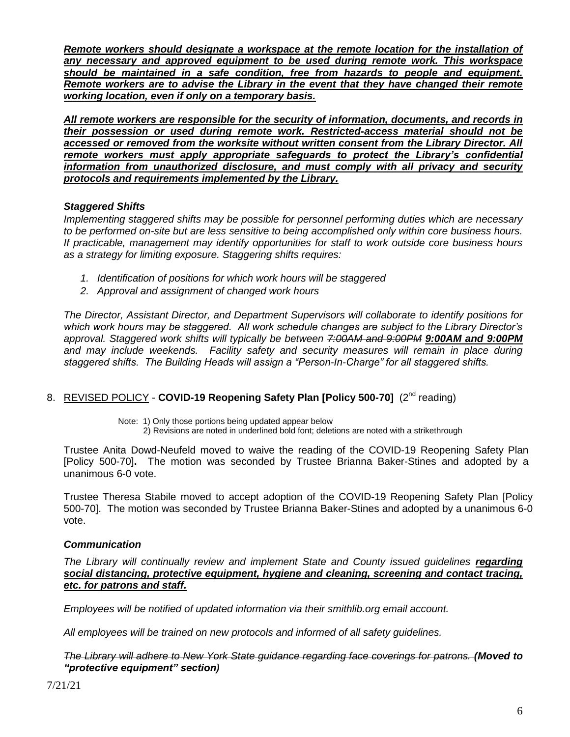*Remote workers should designate a workspace at the remote location for the installation of any necessary and approved equipment to be used during remote work. This workspace should be maintained in a safe condition, free from hazards to people and equipment. Remote workers are to advise the Library in the event that they have changed their remote working location, even if only on a temporary basis.*

*All remote workers are responsible for the security of information, documents, and records in their possession or used during remote work. Restricted-access material should not be accessed or removed from the worksite without written consent from the Library Director. All remote workers must apply appropriate safeguards to protect the Library's confidential information from unauthorized disclosure, and must comply with all privacy and security protocols and requirements implemented by the Library.*

## *Staggered Shifts*

*Implementing staggered shifts may be possible for personnel performing duties which are necessary to be performed on-site but are less sensitive to being accomplished only within core business hours. If practicable, management may identify opportunities for staff to work outside core business hours as a strategy for limiting exposure. Staggering shifts requires:*

- *1. Identification of positions for which work hours will be staggered*
- *2. Approval and assignment of changed work hours*

*The Director, Assistant Director, and Department Supervisors will collaborate to identify positions for which work hours may be staggered. All work schedule changes are subject to the Library Director's approval. Staggered work shifts will typically be between 7:00AM and 9:00PM 9:00AM and 9:00PM* and may include weekends. Facility safety and security measures will remain in place during *staggered shifts. The Building Heads will assign a "Person-In-Charge" for all staggered shifts.*

## 8. REVISED POLICY - COVID-19 Reopening Safety Plan [Policy 500-70] (2<sup>nd</sup> reading)

Note: 1) Only those portions being updated appear below

2) Revisions are noted in underlined bold font; deletions are noted with a strikethrough

Trustee Anita Dowd-Neufeld moved to waive the reading of the COVID-19 Reopening Safety Plan [Policy 500-70]**.** The motion was seconded by Trustee Brianna Baker-Stines and adopted by a unanimous 6-0 vote.

Trustee Theresa Stabile moved to accept adoption of the COVID-19 Reopening Safety Plan [Policy 500-70]. The motion was seconded by Trustee Brianna Baker-Stines and adopted by a unanimous 6-0 vote.

## *Communication*

*The Library will continually review and implement State and County issued guidelines regarding social distancing, protective equipment, hygiene and cleaning, screening and contact tracing, etc. for patrons and staff.* 

*Employees will be notified of updated information via their smithlib.org email account.*

*All employees will be trained on new protocols and informed of all safety guidelines.*

*The Library will adhere to New York State guidance regarding face coverings for patrons. (Moved to "protective equipment" section)*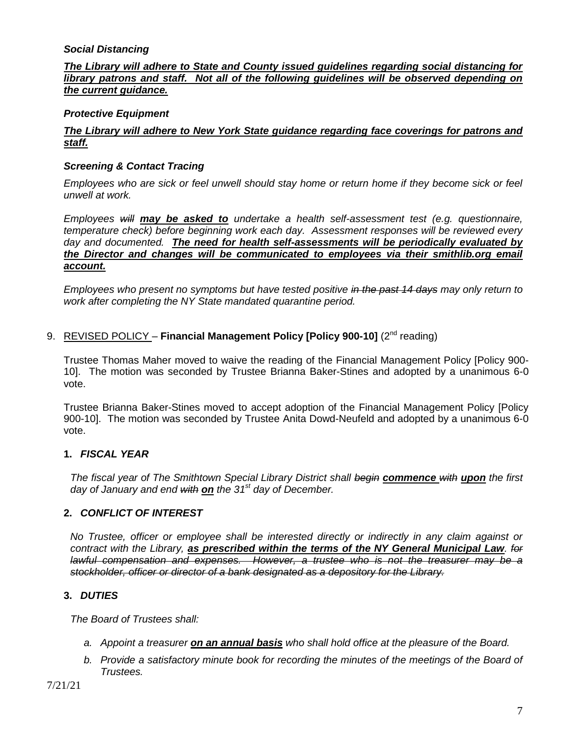## *Social Distancing*

*The Library will adhere to State and County issued guidelines regarding social distancing for library patrons and staff. Not all of the following guidelines will be observed depending on the current guidance.* 

## *Protective Equipment*

## *The Library will adhere to New York State guidance regarding face coverings for patrons and staff.*

#### *Screening & Contact Tracing*

*Employees who are sick or feel unwell should stay home or return home if they become sick or feel unwell at work.*

*Employees will may be asked to undertake a health self-assessment test (e.g. questionnaire, temperature check) before beginning work each day. Assessment responses will be reviewed every day and documented. The need for health self-assessments will be periodically evaluated by the Director and changes will be communicated to employees via their smithlib.org email account.* 

*Employees who present no symptoms but have tested positive in the past 14 days may only return to work after completing the NY State mandated quarantine period.* 

#### 9. REVISED POLICY - Financial Management Policy [Policy 900-10] (2<sup>nd</sup> reading)

Trustee Thomas Maher moved to waive the reading of the Financial Management Policy [Policy 900- 10]. The motion was seconded by Trustee Brianna Baker-Stines and adopted by a unanimous 6-0 vote.

Trustee Brianna Baker-Stines moved to accept adoption of the Financial Management Policy [Policy 900-10]. The motion was seconded by Trustee Anita Dowd-Neufeld and adopted by a unanimous 6-0 vote.

## **1.** *FISCAL YEAR*

*The fiscal year of The Smithtown Special Library District shall begin commence with upon the first day of January and end with on the 31st day of December.*

## **2.** *CONFLICT OF INTEREST*

*No Trustee, officer or employee shall be interested directly or indirectly in any claim against or contract with the Library, as prescribed within the terms of the NY General Municipal Law. for lawful compensation and expenses. However, a trustee who is not the treasurer may be a stockholder, officer or director of a bank designated as a depository for the Library.*

## **3.** *DUTIES*

*The Board of Trustees shall:*

- *a. Appoint a treasurer on an annual basis who shall hold office at the pleasure of the Board.*
- *b. Provide a satisfactory minute book for recording the minutes of the meetings of the Board of Trustees.*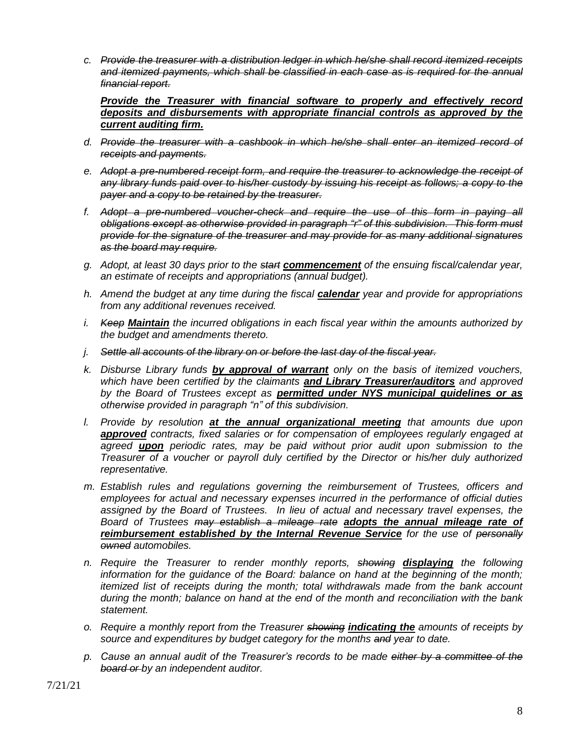*c. Provide the treasurer with a distribution ledger in which he/she shall record itemized receipts and itemized payments, which shall be classified in each case as is required for the annual financial report.*

*Provide the Treasurer with financial software to properly and effectively record deposits and disbursements with appropriate financial controls as approved by the current auditing firm.*

- *d. Provide the treasurer with a cashbook in which he/she shall enter an itemized record of receipts and payments.*
- *e. Adopt a pre-numbered receipt form, and require the treasurer to acknowledge the receipt of any library funds paid over to his/her custody by issuing his receipt as follows; a copy to the payer and a copy to be retained by the treasurer.*
- *f. Adopt a pre-numbered voucher-check and require the use of this form in paying all obligations except as otherwise provided in paragraph "r" of this subdivision. This form must provide for the signature of the treasurer and may provide for as many additional signatures as the board may require.*
- *g. Adopt, at least 30 days prior to the start commencement of the ensuing fiscal/calendar year, an estimate of receipts and appropriations (annual budget).*
- *h. Amend the budget at any time during the fiscal calendar year and provide for appropriations from any additional revenues received.*
- *i. Keep Maintain the incurred obligations in each fiscal year within the amounts authorized by the budget and amendments thereto.*
- *j. Settle all accounts of the library on or before the last day of the fiscal year.*
- *k. Disburse Library funds by approval of warrant only on the basis of itemized vouchers, which have been certified by the claimants and Library Treasurer/auditors and approved by the Board of Trustees except as permitted under NYS municipal guidelines or as otherwise provided in paragraph "n" of this subdivision.*
- *l. Provide by resolution at the annual organizational meeting that amounts due upon approved contracts, fixed salaries or for compensation of employees regularly engaged at agreed upon periodic rates, may be paid without prior audit upon submission to the Treasurer of a voucher or payroll duly certified by the Director or his/her duly authorized representative.*
- *m. Establish rules and regulations governing the reimbursement of Trustees, officers and employees for actual and necessary expenses incurred in the performance of official duties assigned by the Board of Trustees. In lieu of actual and necessary travel expenses, the Board of Trustees may establish a mileage rate adopts the annual mileage rate of reimbursement established by the Internal Revenue Service for the use of personally owned automobiles.*
- *n. Require the Treasurer to render monthly reports, showing displaying the following information for the guidance of the Board: balance on hand at the beginning of the month; itemized list of receipts during the month; total withdrawals made from the bank account during the month; balance on hand at the end of the month and reconciliation with the bank statement.*
- *o. Require a monthly report from the Treasurer showing indicating the amounts of receipts by source and expenditures by budget category for the months and year to date.*
- *p. Cause an annual audit of the Treasurer's records to be made either by a committee of the board or by an independent auditor.*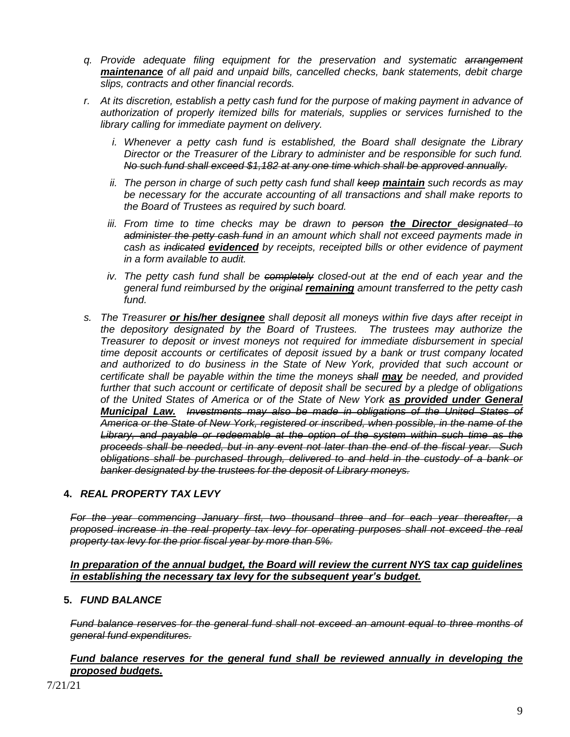- *q. Provide adequate filing equipment for the preservation and systematic arrangement maintenance of all paid and unpaid bills, cancelled checks, bank statements, debit charge slips, contracts and other financial records.*
- *r. At its discretion, establish a petty cash fund for the purpose of making payment in advance of authorization of properly itemized bills for materials, supplies or services furnished to the library calling for immediate payment on delivery.*
	- *i.* Whenever a petty cash fund is established, the Board shall designate the Library *Director or the Treasurer of the Library to administer and be responsible for such fund. No such fund shall exceed \$1,182 at any one time which shall be approved annually.*
	- *ii. The person in charge of such petty cash fund shall keep maintain such records as may be necessary for the accurate accounting of all transactions and shall make reports to the Board of Trustees as required by such board.*
	- *iii. From time to time checks may be drawn to person the Director designated to administer the petty cash fund in an amount which shall not exceed payments made in cash as indicated evidenced by receipts, receipted bills or other evidence of payment in a form available to audit.*
	- *iv. The petty cash fund shall be completely closed-out at the end of each year and the general fund reimbursed by the original remaining amount transferred to the petty cash fund.*
- *s. The Treasurer or his/her designee shall deposit all moneys within five days after receipt in the depository designated by the Board of Trustees. The trustees may authorize the Treasurer to deposit or invest moneys not required for immediate disbursement in special time deposit accounts or certificates of deposit issued by a bank or trust company located and authorized to do business in the State of New York, provided that such account or certificate shall be payable within the time the moneys shall may be needed, and provided further that such account or certificate of deposit shall be secured by a pledge of obligations of the United States of America or of the State of New York as provided under General Municipal Law. Investments may also be made in obligations of the United States of America or the State of New York, registered or inscribed, when possible, in the name of the Library, and payable or redeemable at the option of the system within such time as the proceeds shall be needed, but in any event not later than the end of the fiscal year. Such obligations shall be purchased through, delivered to and held in the custody of a bank or banker designated by the trustees for the deposit of Library moneys.*

# **4.** *REAL PROPERTY TAX LEVY*

*For the year commencing January first, two thousand three and for each year thereafter, a proposed increase in the real property tax levy for operating purposes shall not exceed the real property tax levy for the prior fiscal year by more than 5%.*

#### *In preparation of the annual budget, the Board will review the current NYS tax cap guidelines in establishing the necessary tax levy for the subsequent year's budget.*

## **5.** *FUND BALANCE*

*Fund balance reserves for the general fund shall not exceed an amount equal to three months of general fund expenditures.*

## *Fund balance reserves for the general fund shall be reviewed annually in developing the proposed budgets.*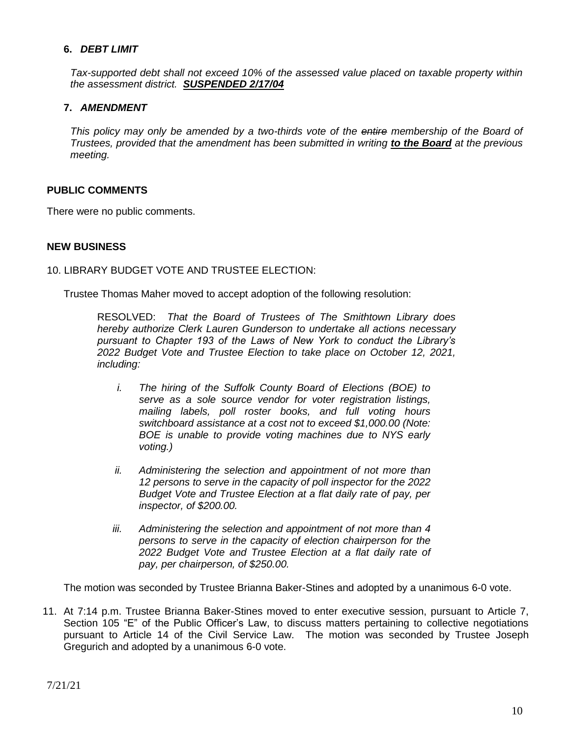## **6.** *DEBT LIMIT*

*Tax-supported debt shall not exceed 10% of the assessed value placed on taxable property within the assessment district. SUSPENDED 2/17/04*

# **7.** *AMENDMENT*

*This policy may only be amended by a two-thirds vote of the entire membership of the Board of Trustees, provided that the amendment has been submitted in writing to the Board at the previous meeting.*

#### **PUBLIC COMMENTS**

There were no public comments.

#### **NEW BUSINESS**

10. LIBRARY BUDGET VOTE AND TRUSTEE ELECTION:

Trustee Thomas Maher moved to accept adoption of the following resolution:

RESOLVED: *That the Board of Trustees of The Smithtown Library does hereby authorize Clerk Lauren Gunderson to undertake all actions necessary pursuant to Chapter 193 of the Laws of New York to conduct the Library's 2022 Budget Vote and Trustee Election to take place on October 12, 2021, including:*

- *i. The hiring of the Suffolk County Board of Elections (BOE) to serve as a sole source vendor for voter registration listings, mailing labels, poll roster books, and full voting hours switchboard assistance at a cost not to exceed \$1,000.00 (Note: BOE is unable to provide voting machines due to NYS early voting.)*
- *ii. Administering the selection and appointment of not more than 12 persons to serve in the capacity of poll inspector for the 2022 Budget Vote and Trustee Election at a flat daily rate of pay, per inspector, of \$200.00.*
- *iii. Administering the selection and appointment of not more than 4 persons to serve in the capacity of election chairperson for the 2022 Budget Vote and Trustee Election at a flat daily rate of pay, per chairperson, of \$250.00.*

The motion was seconded by Trustee Brianna Baker-Stines and adopted by a unanimous 6-0 vote.

11. At 7:14 p.m. Trustee Brianna Baker-Stines moved to enter executive session, pursuant to Article 7, Section 105 "E" of the Public Officer's Law, to discuss matters pertaining to collective negotiations pursuant to Article 14 of the Civil Service Law. The motion was seconded by Trustee Joseph Gregurich and adopted by a unanimous 6-0 vote.